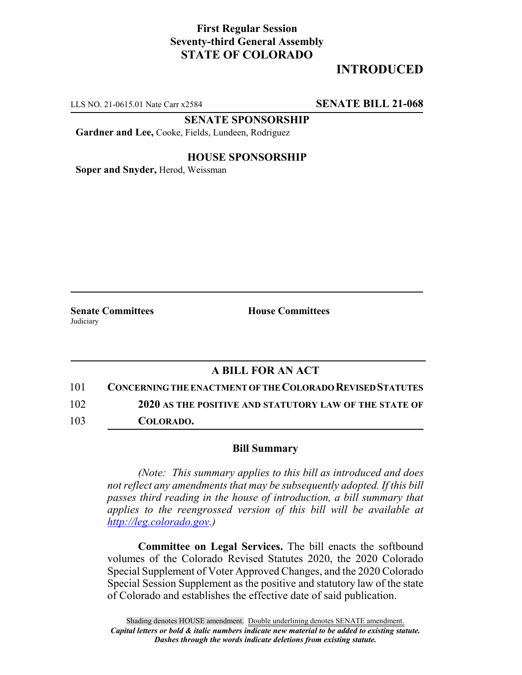## **First Regular Session Seventy-third General Assembly STATE OF COLORADO**

# **INTRODUCED**

LLS NO. 21-0615.01 Nate Carr x2584 **SENATE BILL 21-068**

**SENATE SPONSORSHIP**

**Gardner and Lee,** Cooke, Fields, Lundeen, Rodriguez

#### **HOUSE SPONSORSHIP**

**Soper and Snyder,** Herod, Weissman

**Judiciary** 

**Senate Committees House Committees** 

### **A BILL FOR AN ACT**

101 **CONCERNING THE ENACTMENT OF THE COLORADO REVISED STATUTES** 102 **2020 AS THE POSITIVE AND STATUTORY LAW OF THE STATE OF**

103 **COLORADO.**

#### **Bill Summary**

*(Note: This summary applies to this bill as introduced and does not reflect any amendments that may be subsequently adopted. If this bill passes third reading in the house of introduction, a bill summary that applies to the reengrossed version of this bill will be available at http://leg.colorado.gov.)*

**Committee on Legal Services.** The bill enacts the softbound volumes of the Colorado Revised Statutes 2020, the 2020 Colorado Special Supplement of Voter Approved Changes, and the 2020 Colorado Special Session Supplement as the positive and statutory law of the state of Colorado and establishes the effective date of said publication.